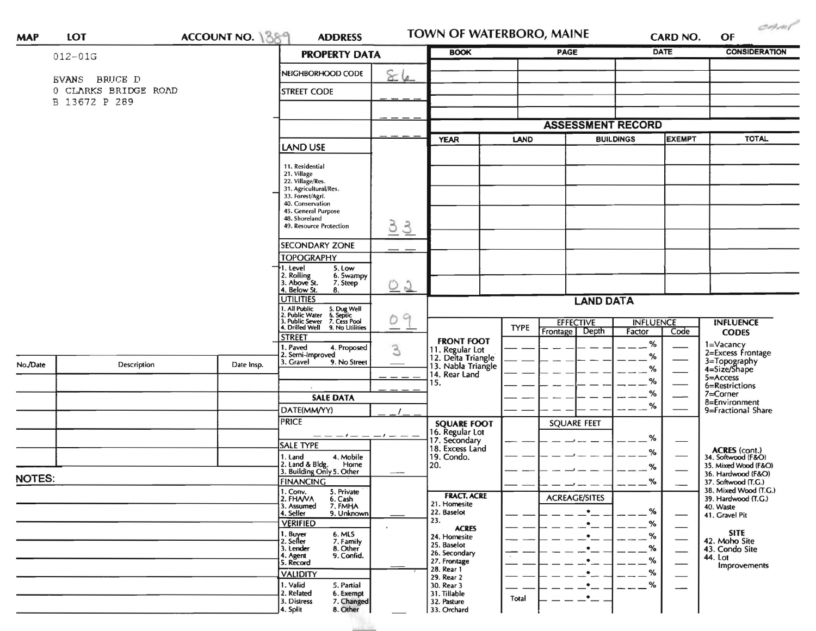|               | ACCOUNT NO. 1389<br>LOT<br>$012 - 01G$                 |                                         | <b>ADDRESS</b><br><b>PROPERTY DATA</b>                                                                                                                                                 |                     | <b>BOOK</b><br><b>PAGE</b>                                                       |                          |                                                                             | CARD NO.<br><b>DATE</b> |              | <b>CONSIDERATION</b>                                           |
|---------------|--------------------------------------------------------|-----------------------------------------|----------------------------------------------------------------------------------------------------------------------------------------------------------------------------------------|---------------------|----------------------------------------------------------------------------------|--------------------------|-----------------------------------------------------------------------------|-------------------------|--------------|----------------------------------------------------------------|
|               |                                                        |                                         |                                                                                                                                                                                        |                     |                                                                                  |                          |                                                                             |                         |              |                                                                |
|               | EVANS BRUCE D<br>0 CLARKS BRIDGE ROAD<br>B 13672 P 289 | NEIGHBORHOOD CODE<br><b>STREET CODE</b> | 86                                                                                                                                                                                     |                     |                                                                                  |                          |                                                                             |                         |              |                                                                |
|               |                                                        |                                         |                                                                                                                                                                                        |                     |                                                                                  | <b>ASSESSMENT RECORD</b> |                                                                             |                         |              |                                                                |
|               |                                                        |                                         |                                                                                                                                                                                        | <b>YEAR</b><br>LAND |                                                                                  | <b>BUILDINGS</b>         |                                                                             | <b>EXEMPT</b>           | <b>TOTAL</b> |                                                                |
|               |                                                        |                                         |                                                                                                                                                                                        | <b>LAND USE</b>     |                                                                                  |                          |                                                                             |                         |              |                                                                |
|               |                                                        |                                         | 11. Residential<br>21. Village<br>22. Village/Res.<br>31. Agricultural/Res.<br>33. Forest/Agri.<br>40. Conservation<br>45. General Purpose<br>48. Shoreland<br>49. Resource Protection | 33                  |                                                                                  |                          |                                                                             |                         |              |                                                                |
|               |                                                        |                                         | <b>SECONDARY ZONE</b>                                                                                                                                                                  |                     |                                                                                  |                          |                                                                             |                         |              |                                                                |
|               |                                                        |                                         | <b>TOPOGRAPHY</b><br>1. Level<br>5. Low                                                                                                                                                |                     |                                                                                  |                          |                                                                             |                         |              |                                                                |
|               |                                                        |                                         | 2. Rolling<br>3. Above St.<br>6. Swampy<br>7. Steep<br>4. Below St.<br>8.                                                                                                              | <u>02</u>           |                                                                                  |                          |                                                                             |                         |              |                                                                |
|               |                                                        |                                         | <b>UTILITIES</b>                                                                                                                                                                       |                     | <b>LAND DATA</b>                                                                 |                          |                                                                             |                         |              |                                                                |
|               |                                                        |                                         | 1. All Public<br>2. Public Water<br>3. Public Sewer<br>4. Drilled Well<br>5. Dug Well<br>6. Septic<br>7. Cess Pool<br>9. No Utilities                                                  | $\Omega$<br>Ò<br>—  |                                                                                  | <b>TYPE</b>              | <b>EFFECTIVE</b><br><b>INFLUENCE</b><br>Depth<br>Factor<br>Code<br>Frontage |                         |              | <b>INFLUENCE</b><br><b>CODES</b>                               |
| No./Date      | Description                                            | Date Insp.                              | <b>STREET</b><br>1. Paved<br>4. Proposed<br>2. Semi-Improved<br>3. Gravel<br>9. No Street                                                                                              | 3                   | <b>FRONT FOOT</b><br>11. Regular Lot<br>12. Delta Triangle<br>13. Nabla Triangle |                          |                                                                             | %<br>$\%$               |              | 1=Vacancy<br>2=Excess Frontage<br>3=Topography<br>4=Size/Shape |
|               |                                                        |                                         |                                                                                                                                                                                        | $  -$               | 14. Rear Land                                                                    |                          |                                                                             | $\%$<br>$\%$            |              | $5 =$ Access                                                   |
|               |                                                        |                                         |                                                                                                                                                                                        |                     | 15.                                                                              |                          |                                                                             | $\%$                    |              | 6=Restrictions<br>7=Corner                                     |
|               |                                                        |                                         | <b>SALE DATA</b><br>DATE(MM/YY)                                                                                                                                                        |                     |                                                                                  |                          |                                                                             | %                       |              | 8=Environment<br>9=Fractional Share                            |
|               |                                                        |                                         | <b>PRICE</b>                                                                                                                                                                           |                     | <b>SQUARE FOOT</b>                                                               |                          | <b>SQUARE FEET</b>                                                          |                         |              |                                                                |
|               |                                                        |                                         | _____                                                                                                                                                                                  |                     | 16. Regular Lot<br>17. Secondary                                                 |                          |                                                                             | %                       |              |                                                                |
|               |                                                        |                                         | <b>SALE TYPE</b>                                                                                                                                                                       |                     | 18. Excess Land                                                                  |                          |                                                                             | %                       |              | ACRES (cont.)<br>34. Softwood (F&O)                            |
|               |                                                        |                                         | 4. Mobile<br>1. Land<br>2. Land & Bldg. Home<br>3. Building Only 5. Other<br>Home                                                                                                      |                     | 19. Condo.<br>20.                                                                |                          |                                                                             | $\%$                    |              | 35. Mixed Wood (F&O)                                           |
| <b>NOTES:</b> |                                                        |                                         | <b>FINANCING</b>                                                                                                                                                                       |                     |                                                                                  |                          |                                                                             | $ \%$                   |              | 36. Hardwood (F&O)<br>37. Softwood (T.G.)                      |
|               |                                                        |                                         | 1. Conv.<br>5. Private<br>2. FHAVA<br>6. Cash                                                                                                                                          |                     | <b>FRACT. ACRE</b>                                                               |                          | <b>ACREAGE/SITES</b>                                                        |                         |              | 38. Mixed Wood (T.G.)<br>39. Hardwood (T.G.)                   |
|               |                                                        |                                         | 3. Assumed<br>7. FMHA<br>4. Seller<br>9. Unknown                                                                                                                                       |                     | 21. Homesite<br>22. Baselot                                                      |                          | $\bullet$                                                                   | %                       |              | 40. Waste                                                      |
|               |                                                        |                                         | <b>VERIFIED</b>                                                                                                                                                                        |                     | 23.                                                                              |                          | $\bullet$                                                                   | %                       |              | 41. Gravel Pit                                                 |
|               |                                                        |                                         | 1. Buyer<br>6. MLS<br>7. Family<br>2. Seller                                                                                                                                           |                     | <b>ACRES</b><br>24. Homesite                                                     |                          | ٠                                                                           | $-$ %                   |              | <b>SITE</b><br>42. Moho Site                                   |
|               |                                                        |                                         | 3. Lender<br>8. Other<br>4. Agent<br>9. Confid.                                                                                                                                        |                     | 25. Baselot<br>26. Secondary                                                     |                          | ٠                                                                           | $\frac{9}{6}$           |              | 43. Condo Site                                                 |
|               |                                                        |                                         | 5. Record                                                                                                                                                                              |                     | 27. Frontage<br>28. Rear 1                                                       |                          |                                                                             | $-$ %                   |              | 44. Lot<br>Improvements                                        |
|               |                                                        |                                         | <b>VALIDITY</b><br>1. Valid                                                                                                                                                            |                     | 29. Rear 2<br>30. Rear 3                                                         |                          |                                                                             | %<br>%                  |              |                                                                |
|               |                                                        |                                         | 5. Partial<br>2. Related<br>6. Exempt<br>3. Distress<br>7. Changed                                                                                                                     |                     | 31. Tillable<br>32. Pasture                                                      | Total                    | ٠                                                                           |                         |              |                                                                |